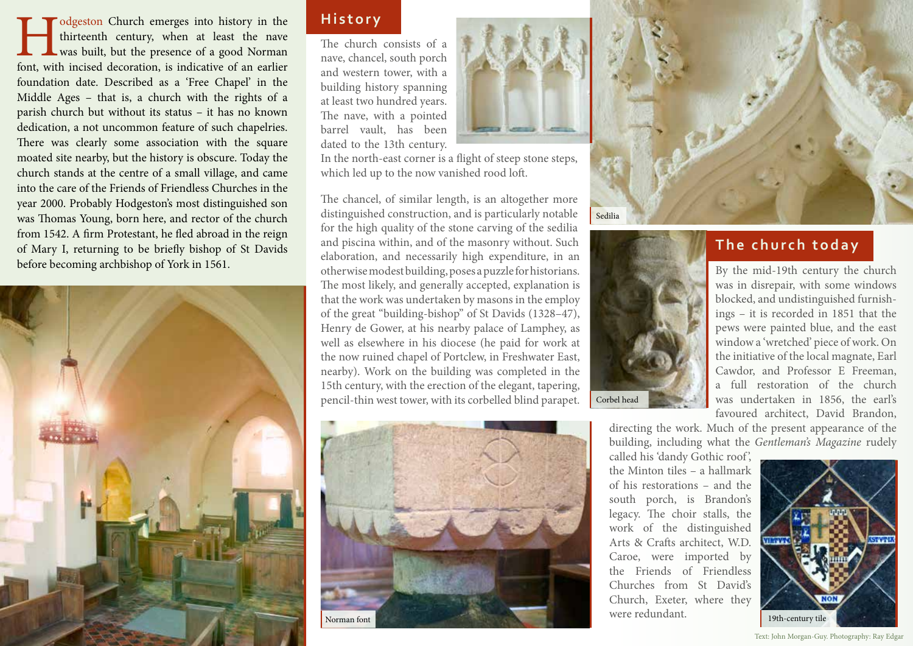International Church emerges into history in the thirteenth century, when at least the nave was built, but the presence of a good Norman font, with incised decoration, is indicative of an earlier thirteenth century, when at least the nave was built, but the presence of a good Norman foundation date. Described as a 'Free Chapel' in the Middle Ages – that is, a church with the rights of a parish church but without its status – it has no known dedication, a not uncommon feature of such chapelries. There was clearly some association with the square moated site nearby, but the history is obscure. Today the church stands at the centre of a small village, and came into the care of the Friends of Friendless Churches in the year 2000. Probably Hodgeston's most distinguished son was Thomas Young, born here, and rector of the church from 1542. A firm Protestant, he fled abroad in the reign of Mary I, returning to be briefly bishop of St Davids before becoming archbishop of York in 1561.



## **History**

The church consists of a nave, chancel, south porch and western tower, with a building history spanning at least two hundred years. The nave, with a pointed barrel vault, has been dated to the 13th century.



In the north-east corner is a flight of steep stone steps, which led up to the now vanished rood loft.

The chancel, of similar length, is an altogether more distinguished construction, and is particularly notable for the high quality of the stone carving of the sedilia and piscina within, and of the masonry without. Such elaboration, and necessarily high expenditure, in an otherwise modest building, poses a puzzle for historians. The most likely, and generally accepted, explanation is that the work was undertaken by masons in the employ of the great "building-bishop" of St Davids (1328–47), Henry de Gower, at his nearby palace of Lamphey, as well as elsewhere in his diocese (he paid for work at the now ruined chapel of Portclew, in Freshwater East, nearby). Work on the building was completed in the 15th century, with the erection of the elegant, tapering, pencil-thin west tower, with its corbelled blind parapet.





# **The church today**

By the mid-19th century the church was in disrepair, with some windows blocked, and undistinguished furnishings – it is recorded in 1851 that the pews were painted blue, and the east window a 'wretched' piece of work. On the initiative of the local magnate, Earl Cawdor, and Professor E Freeman, a full restoration of the church was undertaken in 1856, the earl's favoured architect, David Brandon,

directing the work. Much of the present appearance of the building, including what the *Gentleman's Magazine* rudely

called his 'dandy Gothic roof', the Minton tiles – a hallmark of his restorations – and the south porch, is Brandon's legacy. The choir stalls, the work of the distinguished Arts & Crafts architect, W.D. Caroe, were imported by the Friends of Friendless Churches from St David's Church, Exeter, where they were redundant.



Text: John Morgan-Guy. Photography: Ray Edgar

Corbel head